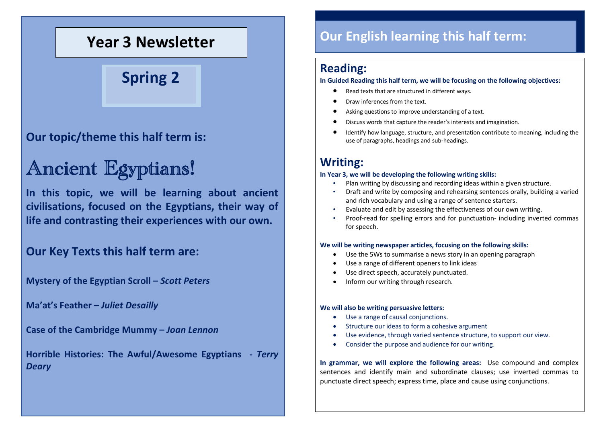# **Year 3 Newsletter**

**Spring 2**

### **Our topic/theme this half term is:**

# Ancient Egyptians!

**In this topic, we will be learning about ancient civilisations, focused on the Egyptians, their way of life and contrasting their experiences with our own.**

### **Our Key Texts this half term are:**

**Mystery of the Egyptian Scroll –** *Scott Peters*

**Ma'at's Feather –** *Juliet Desailly*

**Case of the Cambridge Mummy –** *Joan Lennon*

**Horrible Histories: The Awful/Awesome Egyptians -** *Terry Deary*

# **Our English learning this half term:**

#### **Reading:**

**In Guided Reading this half term, we will be focusing on the following objectives:**

- Read texts that are structured in different ways.
- Draw inferences from the text.
- Asking questions to improve understanding of a text.
- Discuss words that capture the reader's interests and imagination.
- Identify how language, structure, and presentation contribute to meaning, including the use of paragraphs, headings and sub-headings.

### **Writing:**

#### **In Year 3, we will be developing the following writing skills:**

- Plan writing by discussing and recording ideas within a given structure.
- Draft and write by composing and rehearsing sentences orally, building a varied and rich vocabulary and using a range of sentence starters.
- Evaluate and edit by assessing the effectiveness of our own writing.
- Proof-read for spelling errors and for punctuation- including inverted commas for speech.

#### **We will be writing newspaper articles, focusing on the following skills:**

- Use the 5Ws to summarise a news story in an opening paragraph
- Use a range of different openers to link ideas
- Use direct speech, accurately punctuated.
- Inform our writing through research.

#### **We will also be writing persuasive letters:**

- Use a range of causal conjunctions.
- Structure our ideas to form a cohesive argument
- Use evidence, through varied sentence structure, to support our view.
- Consider the purpose and audience for our writing.

**In grammar, we will explore the following areas:** Use compound and complex sentences and identify main and subordinate clauses; use inverted commas to punctuate direct speech; express time, place and cause using conjunctions.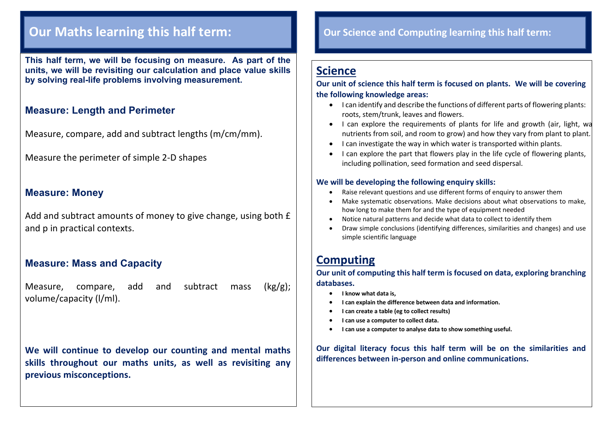# **Our Maths learning this half term:**

**This half term, we will be focusing on measure. As part of the units, we will be revisiting our calculation and place value skills by solving real-life problems involving measurement.**

#### **Measure: Length and Perimeter**

Measure, compare, add and subtract lengths (m/cm/mm).

Measure the perimeter of simple 2-D shapes

#### **Measure: Money**

Add and subtract amounts of money to give change, using both £ and p in practical contexts.

#### **Measure: Mass and Capacity**

Measure, compare, add and subtract mass  $(kg/g)$ ; volume/capacity (l/ml).

**We will continue to develop our counting and mental maths skills throughout our maths units, as well as revisiting any previous misconceptions.**

#### **Our Science and Computing learning this half term:**

### **Science**

**Our unit of science this half term is focused on plants. We will be covering the following knowledge areas:**

- I can identify and describe the functions of different parts of flowering plants: roots, stem/trunk, leaves and flowers.
- I can explore the requirements of plants for life and growth (air, light, wa nutrients from soil, and room to grow) and how they vary from plant to plant.
- I can investigate the way in which water is transported within plants.
- I can explore the part that flowers play in the life cycle of flowering plants, including pollination, seed formation and seed dispersal.

#### **We will be developing the following enquiry skills:**

- Raise relevant questions and use different forms of enquiry to answer them
- Make systematic observations. Make decisions about what observations to make, how long to make them for and the type of equipment needed
- Notice natural patterns and decide what data to collect to identify them
- Draw simple conclusions (identifying differences, similarities and changes) and use simple scientific language

### **Computing**

**Our unit of computing this half term is focused on data, exploring branching databases.**

- **I know what data is,**
- **I can explain the difference between data and information.**
- **I can create a table (eg to collect results)**
- **I can use a computer to collect data.**
- **I can use a computer to analyse data to show something useful.**

**Our digital literacy focus this half term will be on the similarities and differences between in-person and online communications.**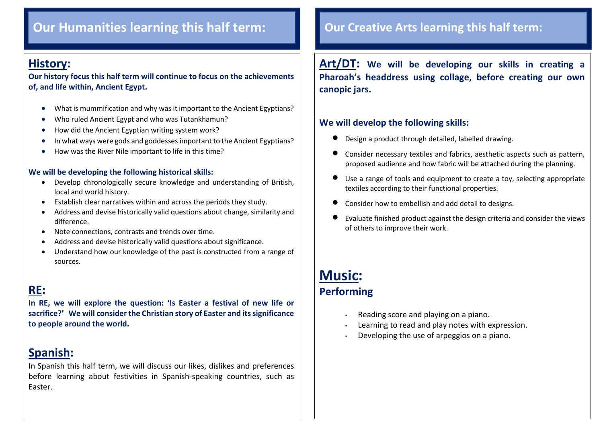# **Our Humanities learning this half term: Our Creative Arts learning this half term:**

### **History:**

 $\overline{\phantom{a}}$ 

**Our history focus this half term will continue to focus on the achievements of, and life within, Ancient Egypt.**

- What is mummification and why was it important to the Ancient Egyptians?
- Who ruled Ancient Egypt and who was Tutankhamun?
- How did the Ancient Egyptian writing system work?
- In what ways were gods and goddesses important to the Ancient Egyptians?
- How was the River Nile important to life in this time?

#### **We will be developing the following historical skills:**

- Develop chronologically secure knowledge and understanding of British, local and world history.
- Establish clear narratives within and across the periods they study.
- Address and devise historically valid questions about change, similarity and difference.
- Note connections, contrasts and trends over time.
- Address and devise historically valid questions about significance.
- Understand how our knowledge of the past is constructed from a range of sources.

# **RE:**

**In RE, we will explore the question: 'Is Easter a festival of new life or sacrifice?' We will consider the Christian story of Easter and its significance to people around the world.**

### **Spanish:**

In Spanish this half term, we will discuss our likes, dislikes and preferences before learning about festivities in Spanish-speaking countries, such as Easter.

**Art/DT: We will be developing our skills in creating a Pharoah's headdress using collage, before creating our own canopic jars.**

#### **We will develop the following skills:**

- Design a product through detailed, labelled drawing.
- Consider necessary textiles and fabrics, aesthetic aspects such as pattern, proposed audience and how fabric will be attached during the planning.
- Use a range of tools and equipment to create a toy, selecting appropriate textiles according to their functional properties.
- Consider how to embellish and add detail to designs.
- Evaluate finished product against the design criteria and consider the views of others to improve their work.

## **Music: Performing**

- Reading score and playing on a piano.
- Learning to read and play notes with expression.
- Developing the use of arpeggios on a piano.